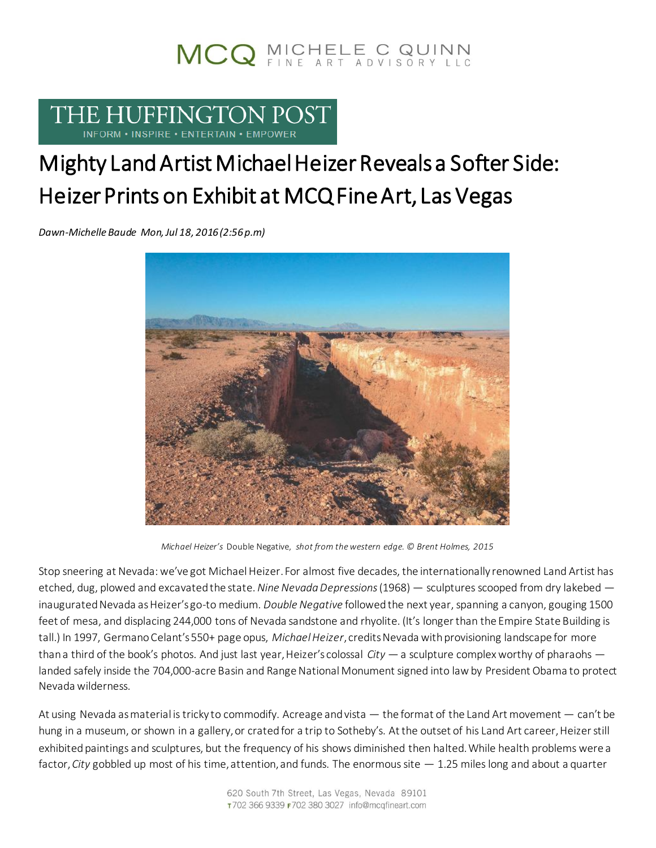# MCQ MICHELE C QUINN

### THE HUFFINGTON POST INFORM . INSPIRE . ENTERTAIN . EMPOWER

## Mighty Land Artist Michael Heizer Reveals a Softer Side: Heizer Prints on Exhibit at MCQ Fine Art, Las Vegas

*Dawn-Michelle Baude Mon, Jul 18, 2016 (2:56p.m)*



*Michael Heizer's* Double Negative, *shot from the western edge. © Brent Holmes, 2015*

Stop sneering at Nevada: we've got Michael Heizer. For almost five decades, the internationally renowned Land Artist has etched, dug, plowed and excavated the state.*Nine Nevada Depressions*(1968) — sculptures scooped from dry lakebed inaugurated Nevada as Heizer's go-to medium. *Double Negative* followed the next year, spanning a canyon, gouging 1500 feet of mesa, and displacing 244,000 tons of Nevada sandstone and rhyolite. (It's longer than the Empire State Building is tall.) In 1997, Germano Celant's 550+ page opus, *Michael Heizer*, credits Nevada with provisioning landscape for more than a third of the book's photos. And just last year, Heizer's colossal *City* — a sculpture complex worthy of pharaohs landed safely inside the 704,000-acre Basin and Range National Monument signed into law by President Obama to protect Nevada wilderness.

At using Nevada as material is tricky to commodify. Acreage and vista — the format of the Land Art movement — can't be hung in a museum, or shown in a gallery, or crated for a trip to Sotheby's. At the outset of his Land Art career, Heizer still exhibited paintings and sculptures, but the frequency of his shows diminished then halted. While health problems were a factor,*City* gobbled up most of his time, attention, and funds. The enormous site — 1.25 miles long and about a quarter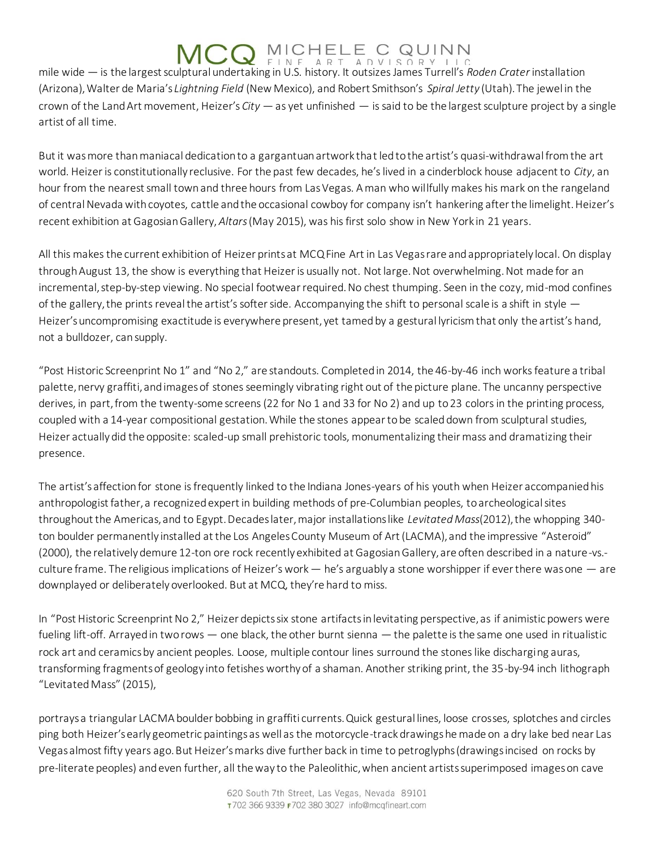mile wide — is the largest sculptural undertaking in U.S. history. It outsizes James Turrell's *Roden Crater* installation (Arizona), Walter de Maria's *Lightning Field* (New Mexico), and Robert Smithson's *Spiral Jetty* (Utah). The jewel in the crown of the Land Art movement, Heizer's *City* — as yet unfinished — is said to be the largest sculpture project by a single artist of all time.

But it was more than maniacal dedication to a gargantuan artwork that led to the artist's quasi-withdrawal from the art world. Heizer is constitutionally reclusive. For the past few decades, he's lived in a cinderblock house adjacent to *City*, an hour from the nearest small town and three hours from Las Vegas. A man who willfully makes his mark on the rangeland of central Nevada with coyotes, cattle and the occasional cowboy for company isn't hankering after the limelight. Heizer's recent exhibition at Gagosian Gallery, *Altars*(May 2015), was his first solo show in New York in 21 years.

All this makes the current exhibition of Heizer prints at MCQ Fine Art in Las Vegas rare and appropriately local. On display through August 13, the show is everything that Heizer is usually not. Not large. Not overwhelming. Not made for an incremental, step-by-step viewing. No special footwear required. No chest thumping. Seen in the cozy, mid-mod confines of the gallery, the prints reveal the artist's softer side. Accompanying the shift to personal scale is a shift in style  $-$ Heizer's uncompromising exactitude is everywhere present, yet tamed by a gestural lyricism that only the artist's hand, not a bulldozer, can supply.

"Post Historic Screenprint No 1" and "No 2," are standouts. Completed in 2014, the 46-by-46 inch works feature a tribal palette, nervy graffiti, and images of stones seemingly vibrating right out of the picture plane. The uncanny perspective derives, in part, from the twenty-some screens (22 for No 1 and 33 for No 2) and up to 23 colors in the printing process, coupled with a 14-year compositional gestation. While the stones appear to be scaled down from sculptural studies, Heizer actually did the opposite: scaled-up small prehistoric tools, monumentalizing their mass and dramatizing their presence.

The artist's affection for stone is frequently linked to the Indiana Jones-years of his youth when Heizer accompanied his anthropologist father, a recognized expert in building methods of pre-Columbian peoples, to archeological sites throughout the Americas, and to Egypt. Decades later, major installations like *Levitated Mass*(2012), the whopping 340 ton boulder permanently installed at the Los Angeles County Museum of Art (LACMA), and the impressive "Asteroid" (2000), the relatively demure 12-ton ore rock recently exhibited at Gagosian Gallery, are often described in a nature-vs. culture frame. The religious implications of Heizer's work  $-$  he's arguably a stone worshipper if ever there was one  $-$  are downplayed or deliberately overlooked. But at MCQ, they're hard to miss.

In "Post Historic Screenprint No 2," Heizer depicts six stone artifacts in levitating perspective, as if animistic powers were fueling lift-off. Arrayed in two rows — one black, the other burnt sienna — the palette is the same one used in ritualistic rock art and ceramics by ancient peoples. Loose, multiple contour lines surround the stones like discharging auras, transforming fragments of geology into fetishes worthy of a shaman. Another striking print, the 35-by-94 inch lithograph "Levitated Mass" (2015),

portrays a triangular LACMA boulder bobbing in graffiti currents. Quick gestural lines, loose crosses, splotches and circles ping both Heizer's early geometric paintings as well as the motorcycle-track drawings he made on a dry lake bed near Las Vegas almost fifty years ago. But Heizer's marks dive further back in time to petroglyphs (drawings incised on rocks by pre-literate peoples) and even further, all the way to the Paleolithic, when ancient artists superimposed images on cave